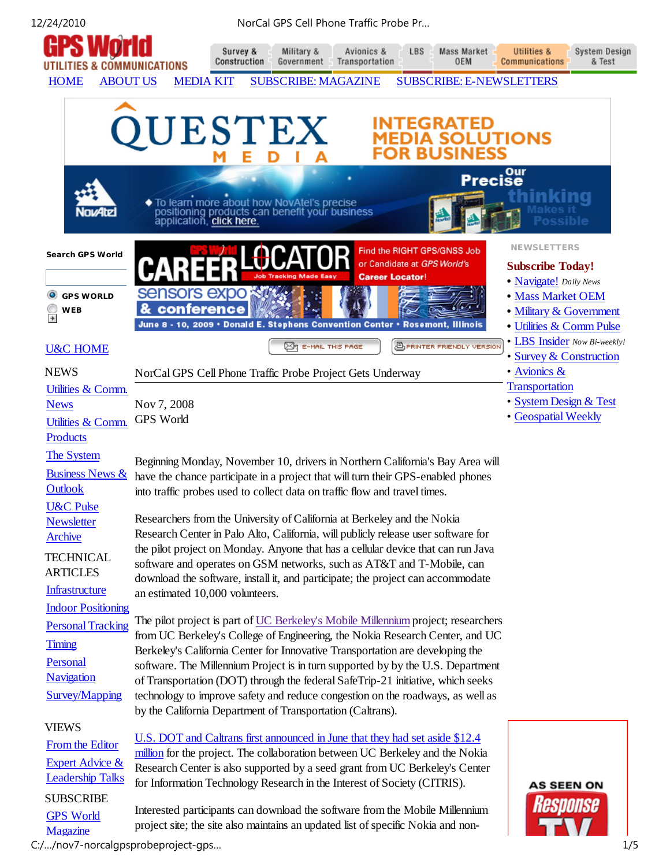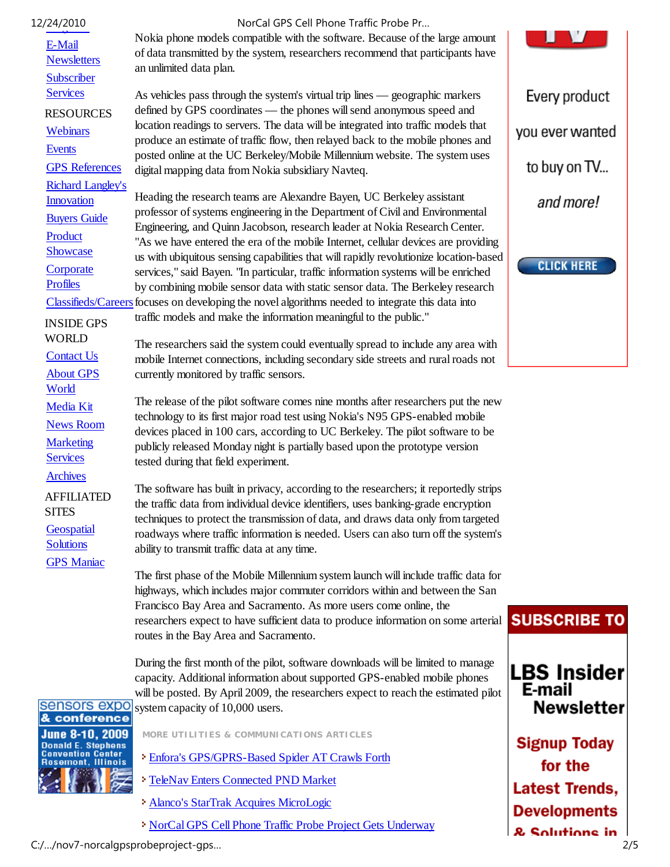| 12/24/2010                                    | NorCal GPS Cell Phone Traffic Probe Pr                                                                                                                                                     |                     |
|-----------------------------------------------|--------------------------------------------------------------------------------------------------------------------------------------------------------------------------------------------|---------------------|
| E-Mail<br><b>Newsletters</b>                  | Nokia phone models compatible with the software. Because of the large amount<br>of data transmitted by the system, researchers recommend that participants have<br>an unlimited data plan. |                     |
| <b>Subscriber</b>                             |                                                                                                                                                                                            |                     |
| <b>Services</b><br><b>RESOURCES</b>           | As vehicles pass through the system's virtual trip lines — geographic markers<br>defined by GPS coordinates - the phones will send anonymous speed and                                     | Every product       |
| Webinars                                      | location readings to servers. The data will be integrated into traffic models that                                                                                                         | you ever wanted     |
| <b>Events</b>                                 | produce an estimate of traffic flow, then relayed back to the mobile phones and<br>posted online at the UC Berkeley/Mobile Millennium website. The system uses                             |                     |
| <b>GPS</b> References                         | digital mapping data from Nokia subsidiary Navteq.                                                                                                                                         | to buy on TV        |
| <b>Richard Langley's</b><br><b>Innovation</b> | Heading the research teams are Alexandre Bayen, UC Berkeley assistant                                                                                                                      | and more!           |
| <b>Buyers Guide</b>                           | professor of systems engineering in the Department of Civil and Environmental                                                                                                              |                     |
| Product                                       | Engineering, and Quinn Jacobson, research leader at Nokia Research Center.<br>"As we have entered the era of the mobile Internet, cellular devices are providing                           |                     |
| Showcase                                      | us with ubiquitous sensing capabilities that will rapidly revolutionize location-based                                                                                                     | <b>CLICK HERE</b>   |
| Corporate<br><b>Profiles</b>                  | services," said Bayen. "In particular, traffic information systems will be enriched                                                                                                        |                     |
|                                               | by combining mobile sensor data with static sensor data. The Berkeley research<br>Classifieds/Careers focuses on developing the novel algorithms needed to integrate this data into        |                     |
| <b>INSIDE GPS</b>                             | traffic models and make the information meaningful to the public."                                                                                                                         |                     |
| <b>WORLD</b>                                  | The researchers said the system could eventually spread to include any area with                                                                                                           |                     |
| <b>Contact Us</b>                             | mobile Internet connections, including secondary side streets and rural roads not                                                                                                          |                     |
| <b>About GPS</b><br>World                     | currently monitored by traffic sensors.                                                                                                                                                    |                     |
| <b>Media Kit</b>                              | The release of the pilot software comes nine months after researchers put the new                                                                                                          |                     |
| <b>News Room</b>                              | technology to its first major road test using Nokia's N95 GPS-enabled mobile<br>devices placed in 100 cars, according to UC Berkeley. The pilot software to be                             |                     |
| <b>Marketing</b>                              | publicly released Monday night is partially based upon the prototype version                                                                                                               |                     |
| <b>Services</b>                               | tested during that field experiment.                                                                                                                                                       |                     |
| <b>Archives</b>                               | The software has built in privacy, according to the researchers; it reportedly strips                                                                                                      |                     |
| <b>AFFILIATED</b><br><b>SITES</b>             | the traffic data from individual device identifiers, uses banking-grade encryption                                                                                                         |                     |
| Geospatial                                    | techniques to protect the transmission of data, and draws data only from targeted<br>roadways where traffic information is needed. Users can also turn off the system's                    |                     |
| <b>Solutions</b>                              | ability to transmit traffic data at any time.                                                                                                                                              |                     |
| <b>GPS</b> Maniac                             | The first phase of the Mobile Millennium system launch will include traffic data for                                                                                                       |                     |
|                                               | highways, which includes major commuter corridors within and between the San                                                                                                               |                     |
|                                               | Francisco Bay Area and Sacramento. As more users come online, the                                                                                                                          | <b>SUBSCRIBE TO</b> |
|                                               | researchers expect to have sufficient data to produce information on some arterial<br>routes in the Bay Area and Sacramento.                                                               |                     |
|                                               | During the first month of the pilot, software downloads will be limited to manage                                                                                                          | <b>LBS Insider</b>  |
|                                               | capacity. Additional information about supported GPS-enabled mobile phones<br>will be posted. By April 2009, the researchers expect to reach the estimated pilot                           | E-mail              |
| sensors expo                                  | system capacity of 10,000 users.                                                                                                                                                           | <b>Newsletter</b>   |
| & conference                                  |                                                                                                                                                                                            |                     |



**MORE UTILITIES & COMMUNICATIONS ARTICLES**

- Enfora's GPS/GPRS-Based Spider AT Crawls Forth
- TeleNav Enters Connected PND Market
- Alanco's StarTrak Acquires MicroLogic
- NorCal GPS Cell Phone Traffic Probe Project Gets Underway

**Signup Today** for the

**Latest Trends,** 

**Developments** & Solutions in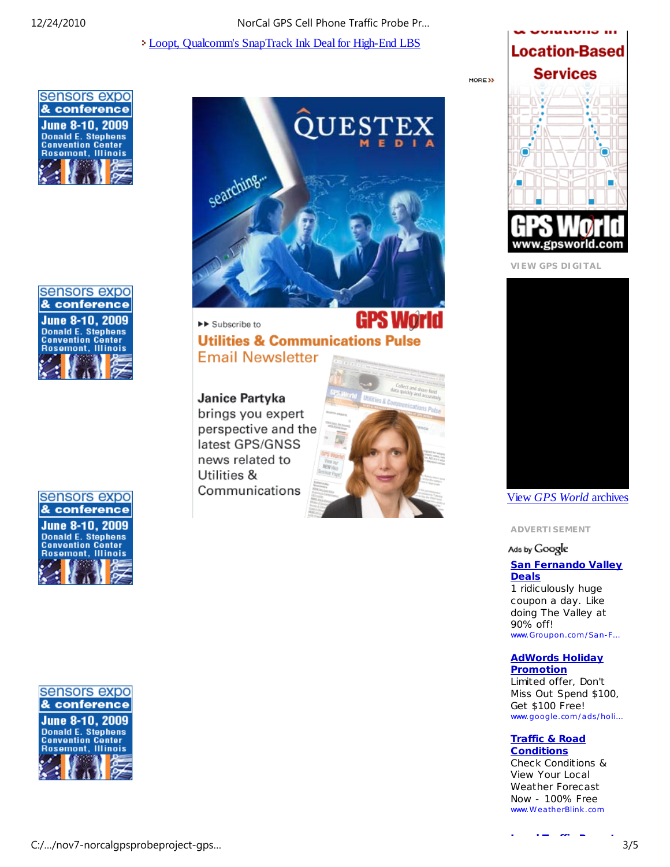# 12/24/2010 NorCal GPS Cell Phone Traffic Probe Pr…

Loopt, Qualcomm's SnapTrack Ink Deal for High-End LBS







sensors expo & conference **June 8-10, 2009 Donald E. Stephens Convention Center Rosemont, Illinois** 



▶▶ Subscribe to **Utilities & Communications Pulse Email Newsletter** 

# Janice Partyka

brings you expert perspective and the latest GPS/GNSS news related to Utilities & Communications





**VIEW GPS DIGITAL**



View *GPS World* archives

**ADVERTISEMENT**

# Ads by Google

#### **San Fernando Valley Deals**

1 ridiculously huge coupon a day. Like doing The Valley at 90% off! www.Groupon.com /San-F…

# **AdWords Holiday Promotion**

Limited offer, Don't Miss Out Spend \$100, Get \$100 Free! www.google .com /ads/holi…

### **Traffic & Road Conditions**

Check Conditions & View Your Local Weather Forecast Now - 100% Free www.Wea therBlink .com

**L l T ffi R t**

C:/…/nov7-norcalgpsprobeproject-gps… 3/5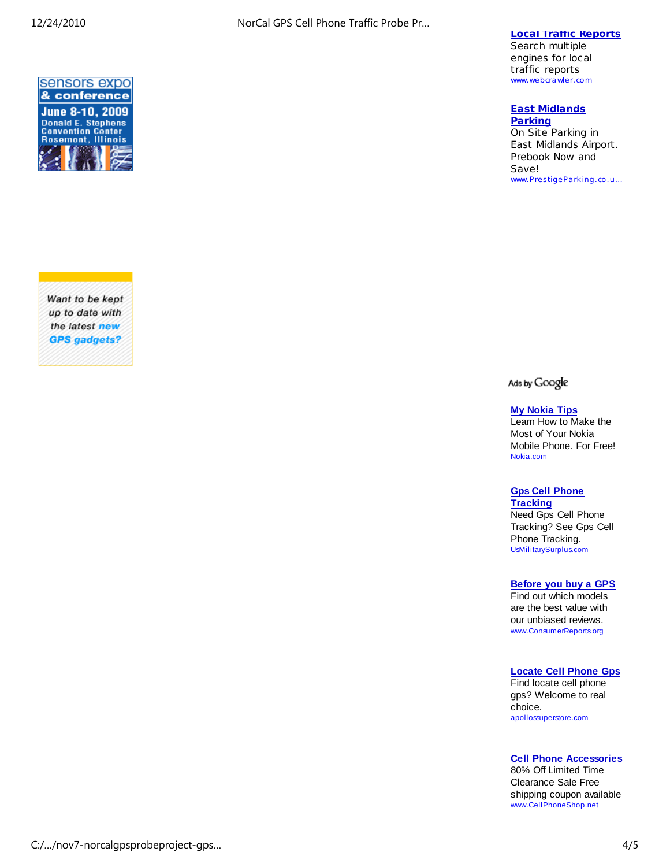

Want to be kept up to date with the latest new **GPS** gadgets?

# **Local Traffic Reports**

Search multiple engines for local traffic reports www.webcrawler.com

#### **East Midlands Parking**

On Site Parking in East Midlands Airport. Prebook Now and Save! www.PrestigeParking.co .u…

Ads by Google

### **My Nokia Tips**

Learn How to Make the Most of Your Nokia Mobile Phone. For Free! Nokia.com

# **Gps Cell Phone**

**Tracking** Need Gps Cell Phone Tracking? See Gps Cell Phone Tracking. UsMilitarySurplus.com

### **Before you buy a GPS**

Find out which models are the best value with our unbiased reviews. www.ConsumerReports.org

# **Locate Cell Phone Gps**

Find locate cell phone gps? Welcome to real choice. apollossuperstore.com

**Cell Phone Accessories**

80% Off Limited Time Clearance Sale Free shipping coupon available www.CellPhoneShop.net